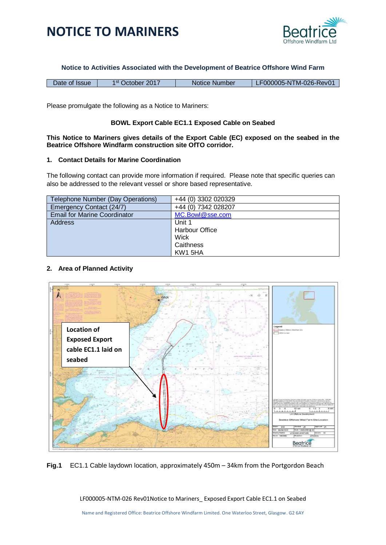



**Notice to Activities Associated with the Development of Beatrice Offshore Wind Farm**

Please promulgate the following as a Notice to Mariners:

### **BOWL Export Cable EC1.1 Exposed Cable on Seabed**

#### **This Notice to Mariners gives details of the Export Cable (EC) exposed on the seabed in the Beatrice Offshore Windfarm construction site OfTO corridor.**

## **1. Contact Details for Marine Coordination**

The following contact can provide more information if required. Please note that specific queries can also be addressed to the relevant vessel or shore based representative.

| Telephone Number (Day Operations)   | +44 (0) 3302 020329   |
|-------------------------------------|-----------------------|
| Emergency Contact (24/7)            | +44 (0) 7342 028207   |
| <b>Email for Marine Coordinator</b> | MC.Bowl@sse.com       |
| Address                             | Unit 1                |
|                                     | <b>Harbour Office</b> |
|                                     | Wick                  |
|                                     | Caithness             |
|                                     | KW1 5HA               |

#### **2. Area of Planned Activity**



**Fig.1** EC1.1 Cable laydown location, approximately 450m – 34km from the Portgordon Beach

LF000005-NTM-026 Rev01Notice to Mariners\_ Exposed Export Cable EC1.1 on Seabed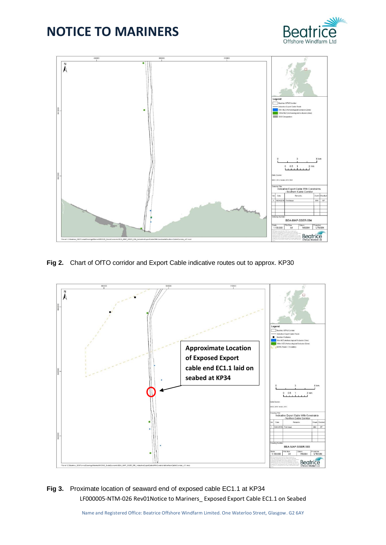



**Fig 2.** Chart of OfTO corridor and Export Cable indicative routes out to approx. KP30



LF000005-NTM-026 Rev01Notice to Mariners\_ Exposed Export Cable EC1.1 on Seabed **Fig 3.** Proximate location of seaward end of exposed cable EC1.1 at KP34

Name and Registered Office: Beatrice Offshore Windfarm Limited. One Waterloo Street, Glasgow. G2 6AY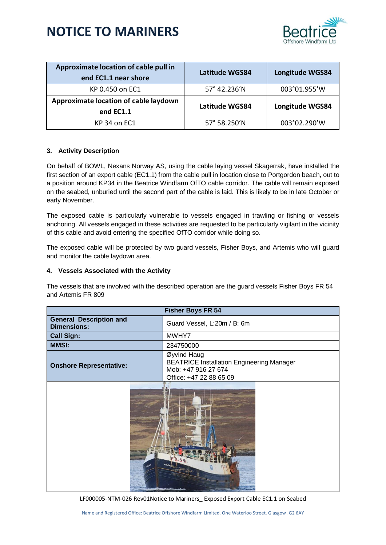

| Approximate location of cable pull in<br>end EC1.1 near shore | <b>Latitude WGS84</b> | <b>Longitude WGS84</b> |
|---------------------------------------------------------------|-----------------------|------------------------|
| KP 0.450 on EC1                                               | 57° 42.236'N          | 003°01.955'W           |
| Approximate location of cable laydown<br>end EC1.1            | <b>Latitude WGS84</b> | Longitude WGS84        |
| KP 34 on EC1                                                  | 57° 58.250'N          | 003°02.290'W           |

## **3. Activity Description**

On behalf of BOWL, Nexans Norway AS, using the cable laying vessel Skagerrak, have installed the first section of an export cable (EC1.1) from the cable pull in location close to Portgordon beach, out to a position around KP34 in the Beatrice Windfarm OfTO cable corridor. The cable will remain exposed on the seabed, unburied until the second part of the cable is laid. This is likely to be in late October or early November.

The exposed cable is particularly vulnerable to vessels engaged in trawling or fishing or vessels anchoring. All vessels engaged in these activities are requested to be particularly vigilant in the vicinity of this cable and avoid entering the specified OfTO corridor while doing so.

The exposed cable will be protected by two guard vessels, Fisher Boys, and Artemis who will guard and monitor the cable laydown area.

## **4. Vessels Associated with the Activity**

The vessels that are involved with the described operation are the guard vessels Fisher Boys FR 54 and Artemis FR 809

| <b>Fisher Boys FR 54</b>                             |                                                                                                                   |  |
|------------------------------------------------------|-------------------------------------------------------------------------------------------------------------------|--|
| <b>General Description and</b><br><b>Dimensions:</b> | Guard Vessel, L:20m / B: 6m                                                                                       |  |
| <b>Call Sign:</b>                                    | MWHY7                                                                                                             |  |
| <b>MMSI:</b>                                         | 234750000                                                                                                         |  |
| <b>Onshore Representative:</b>                       | Øyvind Haug<br><b>BEATRICE Installation Engineering Manager</b><br>Mob: +47 916 27 674<br>Office: +47 22 88 65 09 |  |
|                                                      |                                                                                                                   |  |

LF000005-NTM-026 Rev01Notice to Mariners\_ Exposed Export Cable EC1.1 on Seabed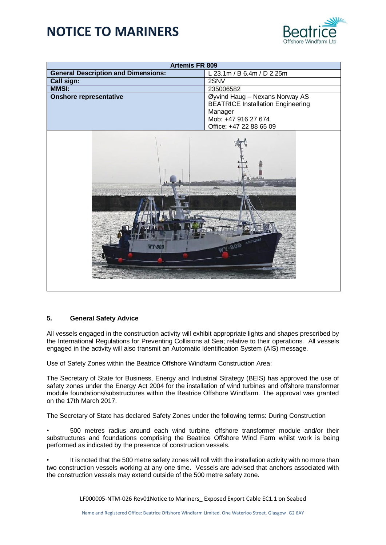

| <b>Artemis FR 809</b>                      |                                          |  |  |
|--------------------------------------------|------------------------------------------|--|--|
| <b>General Description and Dimensions:</b> | L 23.1m / B 6.4m / D 2.25m               |  |  |
| <b>Call sign:</b>                          | 2SNV                                     |  |  |
| <b>MMSI:</b>                               | 235006582                                |  |  |
| <b>Onshore representative</b>              | Øyvind Haug - Nexans Norway AS           |  |  |
|                                            | <b>BEATRICE Installation Engineering</b> |  |  |
|                                            | Manager                                  |  |  |
|                                            | Mob: +47 916 27 674                      |  |  |
|                                            | Office: +47 22 88 65 09                  |  |  |
| WY-809 ARTEMIS<br><b>WY-809</b>            |                                          |  |  |

#### **5. General Safety Advice**

All vessels engaged in the construction activity will exhibit appropriate lights and shapes prescribed by the International Regulations for Preventing Collisions at Sea; relative to their operations. All vessels engaged in the activity will also transmit an Automatic Identification System (AIS) message.

Use of Safety Zones within the Beatrice Offshore Windfarm Construction Area:

The Secretary of State for Business, Energy and Industrial Strategy (BEIS) has approved the use of safety zones under the Energy Act 2004 for the installation of wind turbines and offshore transformer module foundations/substructures within the Beatrice Offshore Windfarm. The approval was granted on the 17th March 2017.

The Secretary of State has declared Safety Zones under the following terms: During Construction

• 500 metres radius around each wind turbine, offshore transformer module and/or their substructures and foundations comprising the Beatrice Offshore Wind Farm whilst work is being performed as indicated by the presence of construction vessels.

It is noted that the 500 metre safety zones will roll with the installation activity with no more than two construction vessels working at any one time. Vessels are advised that anchors associated with the construction vessels may extend outside of the 500 metre safety zone.

LF000005-NTM-026 Rev01Notice to Mariners\_ Exposed Export Cable EC1.1 on Seabed